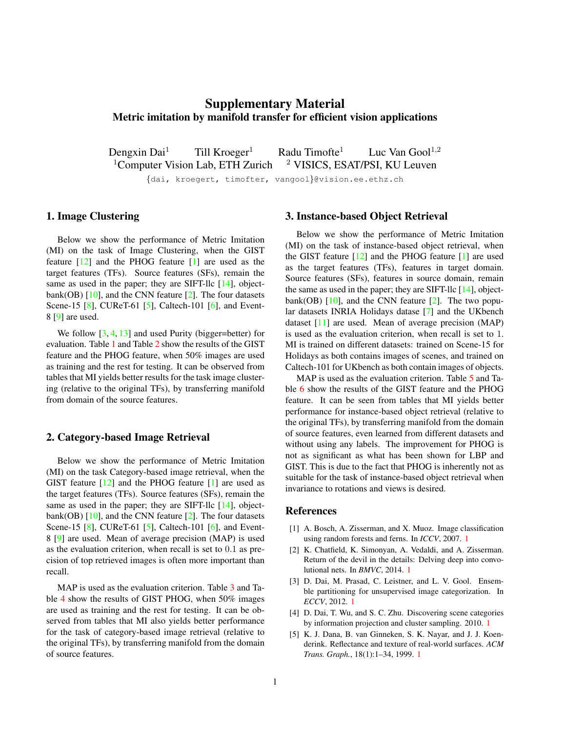# <span id="page-0-5"></span>Supplementary Material Metric imitation by manifold transfer for efficient vision applications

Dengxin Dai<sup>1</sup> Till Kroeger<sup>1</sup> Radu Timofte<sup>1</sup> Luc Van Gool<sup>1,2</sup>  $1$ Computer Vision Lab, ETH Zurich  $2$  VISICS, ESAT/PSI, KU Leuven {dai, kroegert, timofter, vangool}@vision.ee.ethz.ch

### 1. Image Clustering

Below we show the performance of Metric Imitation (MI) on the task of Image Clustering, when the GIST feature [\[12\]](#page-1-0) and the PHOG feature [\[1\]](#page-0-0) are used as the target features (TFs). Source features (SFs), remain the same as used in the paper; they are SIFT-llc [\[14\]](#page-2-0), objectbank(OB)  $[10]$ , and the CNN feature  $[2]$ . The four datasets Scene-15 [\[8\]](#page-1-2), CUReT-61 [\[5\]](#page-0-2), Caltech-101 [\[6\]](#page-1-3), and Event-8 [\[9\]](#page-1-4) are used.

We follow  $[3, 4, 13]$  $[3, 4, 13]$  $[3, 4, 13]$  $[3, 4, 13]$  $[3, 4, 13]$  and used Purity (bigger=better) for evaluation. Table [1](#page-1-5) and Table [2](#page-1-6) show the results of the GIST feature and the PHOG feature, when 50% images are used as training and the rest for testing. It can be observed from tables that MI yields better results for the task image clustering (relative to the original TFs), by transferring manifold from domain of the source features.

#### 2. Category-based Image Retrieval

Below we show the performance of Metric Imitation (MI) on the task Category-based image retrieval, when the GIST feature [\[12\]](#page-1-0) and the PHOG feature [\[1\]](#page-0-0) are used as the target features (TFs). Source features (SFs), remain the same as used in the paper; they are SIFT-llc [\[14\]](#page-2-0), objectbank(OB)  $[10]$ , and the CNN feature  $[2]$ . The four datasets Scene-15 [\[8\]](#page-1-2), CUReT-61 [\[5\]](#page-0-2), Caltech-101 [\[6\]](#page-1-3), and Event-8 [\[9\]](#page-1-4) are used. Mean of average precision (MAP) is used as the evaluation criterion, when recall is set to 0.1 as precision of top retrieved images is often more important than recall.

MAP is used as the evaluation criterion. Table [3](#page-1-7) and Table [4](#page-1-8) show the results of GIST PHOG, when 50% images are used as training and the rest for testing. It can be observed from tables that MI also yields better performance for the task of category-based image retrieval (relative to the original TFs), by transferring manifold from the domain of source features.

## 3. Instance-based Object Retrieval

Below we show the performance of Metric Imitation (MI) on the task of instance-based object retrieval, when the GIST feature [\[12\]](#page-1-0) and the PHOG feature [\[1\]](#page-0-0) are used as the target features (TFs), features in target domain. Source features (SFs), features in source domain, remain the same as used in the paper; they are SIFT-llc [\[14\]](#page-2-0), objectbank(OB)  $[10]$ , and the CNN feature  $[2]$ . The two popular datasets INRIA Holidays datase [\[7\]](#page-1-9) and the UKbench dataset [\[11\]](#page-1-10) are used. Mean of average precision (MAP) is used as the evaluation criterion, when recall is set to 1. MI is trained on different datasets: trained on Scene-15 for Holidays as both contains images of scenes, and trained on Caltech-101 for UKbench as both contain images of objects.

MAP is used as the evaluation criterion. Table [5](#page-1-11) and Table [6](#page-1-12) show the results of the GIST feature and the PHOG feature. It can be seen from tables that MI yields better performance for instance-based object retrieval (relative to the original TFs), by transferring manifold from the domain of source features, even learned from different datasets and without using any labels. The improvement for PHOG is not as significant as what has been shown for LBP and GIST. This is due to the fact that PHOG is inherently not as suitable for the task of instance-based object retrieval when invariance to rotations and views is desired.

## References

- <span id="page-0-0"></span>[1] A. Bosch, A. Zisserman, and X. Muoz. Image classification using random forests and ferns. In *ICCV*, 2007. [1](#page-0-5)
- <span id="page-0-1"></span>[2] K. Chatfield, K. Simonyan, A. Vedaldi, and A. Zisserman. Return of the devil in the details: Delving deep into convolutional nets. In *BMVC*, 2014. [1](#page-0-5)
- <span id="page-0-3"></span>[3] D. Dai, M. Prasad, C. Leistner, and L. V. Gool. Ensemble partitioning for unsupervised image categorization. In *ECCV*, 2012. [1](#page-0-5)
- <span id="page-0-4"></span>[4] D. Dai, T. Wu, and S. C. Zhu. Discovering scene categories by information projection and cluster sampling. 2010. [1](#page-0-5)
- <span id="page-0-2"></span>[5] K. J. Dana, B. van Ginneken, S. K. Nayar, and J. J. Koenderink. Reflectance and texture of real-world surfaces. *ACM Trans. Graph.*, 18(1):1–34, 1999. [1](#page-0-5)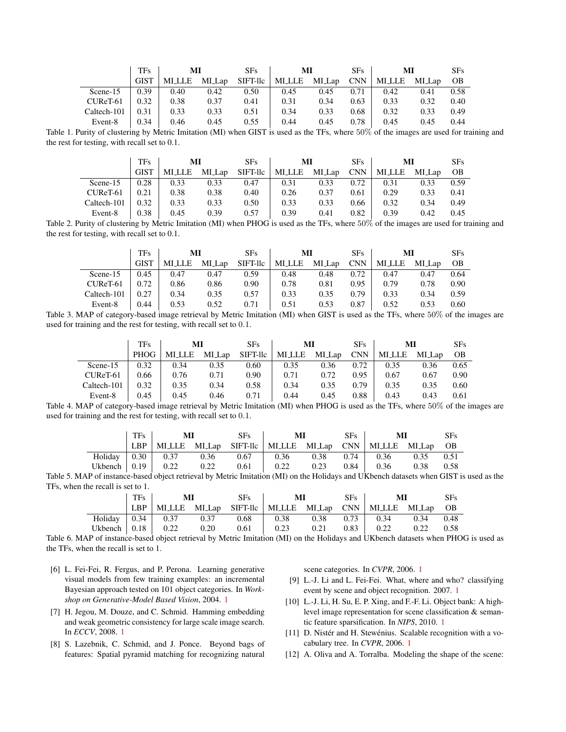|             | TFs         | MI           |        | SFs      | MI     |        | <b>SFs</b> | MI    |        | <b>SFs</b> |
|-------------|-------------|--------------|--------|----------|--------|--------|------------|-------|--------|------------|
|             | <b>GIST</b> | <b>MILLE</b> | MI_Lap | SIFT-llc | MI_LLE | MI_Lap | <b>CNN</b> | MILLE | MI_Lap | OВ         |
| Scene-15    | 0.39        | 0.40         | 0.42   | 0.50     | 0.45   | 0.45   | 0.71       | 0.42  | 0.41   | 0.58       |
| CUReT-61    | 0.32        | 0.38         | 0.37   | 0.41     | 0.31   | 0.34   | 0.63       | 0.33  | 0.32   | 0.40       |
| Caltech-101 | 0.31        | 0.33         | 0.33   | 0.51     | 0.34   | 0.33   | 0.68       | 0.32  | 0.33   | 0.49       |
| Event-8     | 0.34        | 0.46         | 0.45   | 0.55     | 0.44   | 0.45   | 0.78       | 0.45  | 0.45   | 0.44       |

<span id="page-1-5"></span>Table 1. Purity of clustering by Metric Imitation (MI) when GIST is used as the TFs, where 50% of the images are used for training and the rest for testing, with recall set to 0.1.

|             | TFs         | МІ           |        | SFs      | МI     |        | SFs<br>МI  |        |        | <b>SFs</b> |
|-------------|-------------|--------------|--------|----------|--------|--------|------------|--------|--------|------------|
|             | <b>GIST</b> | <b>MILLE</b> | MI Lap | SIFT-llc | MI_LLE | MI_Lap | <b>CNN</b> | MI_LLE | MI_Lap | OВ         |
| Scene-15    | 0.28        | 0.33         | 0.33   | 0.47     | 0.31   | 0.33   | 0.72       | 0.31   | 0.33   | 0.59       |
| CUReT-61    | 0.21        | 0.38         | 0.38   | 0.40     | 0.26   | 0.37   | 0.61       | 0.29   | 0.33   | 0.41       |
| Caltech-101 | 0.32        | 0.33         | 0.33   | 0.50     | 0.33   | 0.33   | 0.66       | 0.32   | 0.34   | 0.49       |
| Event-8     | 0.38        | 0.45         | 0.39   | 0.57     | 0.39   | 0.41   | 0.82       | 0.39   | 0.42   | 0.45       |

<span id="page-1-6"></span>Table 2. Purity of clustering by Metric Imitation (MI) when PHOG is used as the TFs, where 50% of the images are used for training and the rest for testing, with recall set to 0.1.

|             | <b>TFs</b>  | MI            |        | <b>SFs</b> | MI     |        | SF <sub>s</sub> | МI     |        | <b>SFs</b> |
|-------------|-------------|---------------|--------|------------|--------|--------|-----------------|--------|--------|------------|
|             | <b>GIST</b> | <b>MI_LLE</b> | MI_Lap | SIFT-llc   | MI_LLE | MI_Lap | <b>CNN</b>      | MI_LLE | MI_Lap | OB         |
| Scene-15    | 0.45        | 0.47          | 0.47   | 0.59       | 0.48   | 0.48   | 0.72            | 0.47   | 0.47   | 0.64       |
| CUReT-61    | 0.72        | 0.86          | 0.86   | 0.90       | 0.78   | 0.81   | 0.95            | 0.79   | 0.78   | 0.90       |
| Caltech-101 | 0.27        | 0.34          | 0.35   | 0.57       | 0.33   | 0.35   | 0.79            | 0.33   | 0.34   | 0.59       |
| Event-8     | 0.44        | 0.53          | 0.52   | 0.71       | 0.51   | 0.53   | 0.87            | 0.52   | 0.53   | 0.60       |

<span id="page-1-7"></span>Table 3. MAP of category-based image retrieval by Metric Imitation (MI) when GIST is used as the TFs, where 50% of the images are used for training and the rest for testing, with recall set to 0.1.

|             | TFs         | MI            |        | SFs      | MI            |        | <b>SFs</b> | МI            |        | <b>SFs</b> |
|-------------|-------------|---------------|--------|----------|---------------|--------|------------|---------------|--------|------------|
|             | <b>PHOG</b> | <b>MILLLE</b> | MI_Lap | SIFT-llc | <b>MI_LLE</b> | MI_Lap | <b>CNN</b> | <b>MI_LLE</b> | MI_Lap | OB         |
| Scene-15    | 0.32        | 0.34          | 0.35   | 0.60     | 0.35          | 0.36   | 0.72       | 0.35          | 0.36   | 0.65       |
| CUReT-61    | 0.66        | 0.76          | 0.71   | 0.90     | 0.71          | 0.72   | 0.95       | 0.67          | 0.67   | 0.90       |
| Caltech-101 | 0.32        | 0.35          | 0.34   | 0.58     | 0.34          | 0.35   | 0.79       | 0.35          | 0.35   | 0.60       |
| Event-8     | 0.45        | 0.45          | 0.46   | 0.71     | 0.44          | 0.45   | 0.88       | 0.43          | 0.43   | 0.61       |

<span id="page-1-8"></span>Table 4. MAP of category-based image retrieval by Metric Imitation (MI) when PHOG is used as the TFs, where 50% of the images are used for training and the rest for testing, with recall set to 0.1.

| TF <sub>s</sub> | $\mathbf{M}$                                                  | SFs | $\mathbf{M}$ | $SFs$ | $\mathbf{M}\mathbf{I}$ | <b>SFs</b> |
|-----------------|---------------------------------------------------------------|-----|--------------|-------|------------------------|------------|
|                 | LBP   MILLE MILAp SIFT-Ilc   MILLE MILAp CNN   MILLE MILAp OB |     |              |       |                        |            |
|                 | Holiday 0.30 0.37 0.36 0.67 0.36 0.38 0.74 0.36 0.35 0.51     |     |              |       |                        |            |
|                 |                                                               |     |              |       |                        |            |

Table 5. MAP of instance-based object retrieval by Metric Imitation (MI) on the Holidays and UKbench datasets when GIST is used as the TFs, when the recall is set to 1.

<span id="page-1-11"></span>

| <b>TFs</b> | $\mathbf{M}\mathbf{I}$                                                            |  | SFs    | МI |               | $SFs$ | MI                                                      |                    | <b>SFs</b> |
|------------|-----------------------------------------------------------------------------------|--|--------|----|---------------|-------|---------------------------------------------------------|--------------------|------------|
| LBP        |                                                                                   |  |        |    |               |       | MILLE MILAp SIFT-IIc   MILLE MILAp CNN   MILLE MILAp OB |                    |            |
|            | Holiday $\begin{array}{ c c c c c } \hline 0.34 & 0.37 & 0.37 \hline \end{array}$ |  |        |    |               |       | $0.68$   $0.38$ $0.38$ $0.73$   $0.34$ $0.34$ $0.48$    |                    |            |
|            | Ukbench $\vert 0.18 \vert 0.22 \vert 0.20 \vert$                                  |  | $0.61$ |    | $0.23$ $0.21$ |       | $0.83$ 0.22                                             | $0.22 \qquad 0.58$ |            |

<span id="page-1-12"></span>Table 6. MAP of instance-based object retrieval by Metric Imitation (MI) on the Holidays and UKbench datasets when PHOG is used as the TFs, when the recall is set to 1.

- <span id="page-1-3"></span>[6] L. Fei-Fei, R. Fergus, and P. Perona. Learning generative visual models from few training examples: an incremental Bayesian approach tested on 101 object categories. In *Workshop on Generative-Model Based Vision*, 2004. [1](#page-0-5)
- <span id="page-1-9"></span>[7] H. Jegou, M. Douze, and C. Schmid. Hamming embedding and weak geometric consistency for large scale image search. In *ECCV*, 2008. [1](#page-0-5)
- <span id="page-1-2"></span>[8] S. Lazebnik, C. Schmid, and J. Ponce. Beyond bags of features: Spatial pyramid matching for recognizing natural

scene categories. In *CVPR*, 2006. [1](#page-0-5)

- <span id="page-1-4"></span>[9] L.-J. Li and L. Fei-Fei. What, where and who? classifying event by scene and object recognition. 2007. [1](#page-0-5)
- <span id="page-1-1"></span>[10] L.-J. Li, H. Su, E. P. Xing, and F.-F. Li. Object bank: A highlevel image representation for scene classification & semantic feature sparsification. In *NIPS*, 2010. [1](#page-0-5)
- <span id="page-1-10"></span>[11] D. Nistér and H. Stewénius. Scalable recognition with a vocabulary tree. In *CVPR*, 2006. [1](#page-0-5)
- <span id="page-1-0"></span>[12] A. Oliva and A. Torralba. Modeling the shape of the scene: